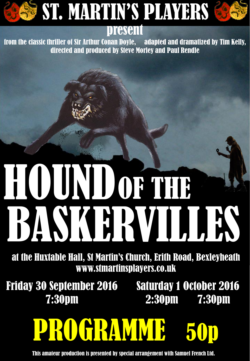

#### present

from the classic thriller of Sir Arthur Conan Doyle, adapted and dramatized by Tim Kelly, directed and produced by Steve Morley and Paul Rendle

# HOUND OF THE BASKERVILLES

at the Huxtable Hall, St Martin's Church, Erith Road, Bexleyheath www.stmartinsplayers.co.uk

Friday 30 September 2016 Saturday 1 October 2016 7:30pm

2:30pm 7:30pm

# PROGRAMME

This amateur production is presented by special arrangement with Samuel French Ltd.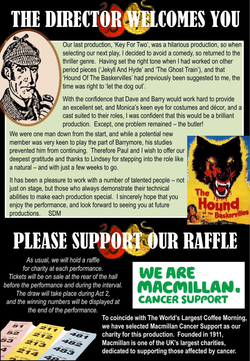### THE DIRECTOR WELCOMES YOU

Our last production, 'Key For Two', was a hilarious production, so when selecting our next play, I decided to avoid a comedy, so returned to the thriller genre. Having set the right tone when I had worked on other period pieces ('Jekyll And Hyde' and 'The Ghost Train'), and that 'Hound Of The Baskervilles' had previously been suggested to me, the time was right to 'let the dog out'.

With the confidence that Dave and Barry would work hard to provide an excellent set, and Monica's keen eye for costumes and décor, and a cast suited to their roles, I was confident that this would be a brilliant production. Except, one problem remained – the butler!

We were one man down from the start, and while a potential new member was very keen to play the part of Barrymore, his studies prevented him from continuing. Therefore Paul and I wish to offer our deepest gratitude and thanks to Lindsey for stepping into the role like a natural – and with just a few weeks to go.

It has been a pleasure to work with a number of talented people – not just on stage, but those who always demonstrate their technical abilities to make each production special. I sincerely hope that you enjoy the performance, and look forward to seeing you at future productions. SDM

# PLEASE SUPPORT OUR RAFFLE

*As usual, we will hold a raffle for charity at each performance. Tickets will be on sale at the rear of the hall before the performance and during the interval. The draw will take place during Act 2, and the winning numbers will be displayed at the end of the performance.*

### WE ARE MACMILLAN **CANCER SUPPORT**



**To coincide with The World's Largest Coffee Morning, we have selected Macmillan Cancer Support as our charity for this production. Founded in 1911, Macmillan is one of the UK's largest charities, dedicated to supporting those affected by cancer.**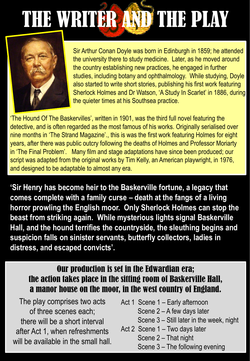# THE WRITER AND THE PLAY



Sir Arthur Conan Doyle was born in Edinburgh in 1859; he attended the university there to study medicine. Later, as he moved around the country establishing new practices, he engaged in further studies, including botany and ophthalmology. While studying, Doyle also started to write short stories, publishing his first work featuring Sherlock Holmes and Dr Watson, 'A Study In Scarlet' in 1886, during the quieter times at his Southsea practice.

'The Hound Of The Baskervilles', written in 1901, was the third full novel featuring the detective, and is often regarded as the most famous of his works. Originally serialised over nine months in 'The Strand Magazine'., this is was the first work featuring Holmes for eight years, after there was public outcry following the deaths of Holmes and Professor Moriarty in 'The Final Problem'. Many film and stage adaptations have since been produced; our script was adapted from the original works by Tim Kelly, an American playwright, in 1976, and designed to be adaptable to almost any era.

**'Sir Henry has become heir to the Baskerville fortune, a legacy that comes complete with a family curse – death at the fangs of a living horror prowling the English moor. Only Sherlock Holmes can stop the beast from striking again. While mysterious lights signal Baskerville Hall, and the hound terrifies the countryside, the sleuthing begins and suspicion falls on sinister servants, butterfly collectors, ladies in distress, and escaped convicts'.**

#### Our production is set in the Edwardian era; the action takes place in the sitting room of Baskerville Hall, a manor house on the moor, in the west country of England.

The play comprises two acts of three scenes each; there will be a short interval after Act 1, when refreshments will be available in the small hall.

- Act 1 Scene 1 Early afternoon
	- Scene 2 A few days later
	- Scene 3 Still later in the week, night
- Act 2 Scene 1 Two days later
	- Scene 2 That night
	- Scene 3 The following evening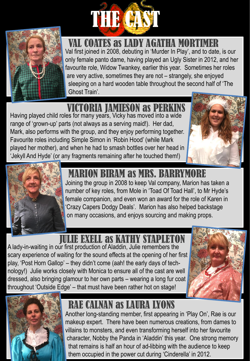



 VAL COATES as LADY AGATHA MORTIMER Val first joined in 2008, debuting in 'Murder In Play', and to date, is our only female panto dame, having played an Ugly Sister in 2012, and her favourite role, Widow Twankey, earlier this year. Sometimes her roles are very active, sometimes they are not – strangely, she enjoyed sleeping on a hard wooden table throughout the second half of 'The Ghost Train'.

### UTORIA JAMIESON as PER

Having played child roles for many years, Vicky has moved into a wide range of 'grown-up' parts (not always as a serving maid!). Her dad, Mark, also performs with the group, and they enjoy performing together. Favourite roles including Simple Simon in 'Robin Hood' (while Mark played her mother), and when he had to smash bottles over her head in 'Jekyll And Hyde' (or any fragments remaining after he touched them!)





#### MARION BIRAM as MRS. BARRYMORE

Joining the group in 2008 to keep Val company, Marion has taken a number of key roles, from Mole in 'Toad Of Toad Hall', to Mr Hyde's female companion, and even won an award for the role of Karen in 'Crazy Capers Dodgy Deals'. Marion has also helped backstage on many occasions, and enjoys sourcing and making props.

### JULIE EXELL as KATHY STAPLETON

A lady-in-waiting in our first production of Aladdin, Julie remembers the scary experience of waiting for the sound effects at the opening of her first play, 'Post Horn Gallop' – they didn't come (aah! the early days of technology!) Julie works closely with Monica to ensure all of the cast are well dressed, also bringing glamour to her own parts – wearing a long fur coat throughout 'Outside Edge' – that must have been rather hot on stage!





### RAE CALNAN as LAURA LYONS

Another long-standing member, first appearing in 'Play On', Rae is our makeup expert. There have been numerous creations, from dames to villains to monsters, and even transforming herself into her favourite character, Nobby the Panda in 'Aladdin' this year. One strong memory that remains is half an hour of ad-libbing with the audience to keep them occupied in the power cut during 'Cinderella' in 2012.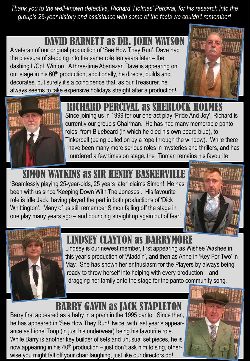*Thank you to the well-known detective, Richard 'Holmes' Percival, for his research into the group's 26-year history and assistance with some of the facts we couldn't remember!*

#### DAVID BARNETT as DR. JOHN WAT

A veteran of our original production of 'See How They Run', Dave had the pleasure of stepping into the same role ten years later – the dashing L/Cpl. Winton. A three-time Abanazar, Dave is appearing on our stage in his 60<sup>th</sup> production; additionally, he directs, builds and decorates, but surely it's a coincidence that, as our Treasurer, he always seems to take expensive holidays straight after a production!





#### RICHARD PERCIVAL as SHERLOCK HOLMES

Since joining us in 1999 for our one-act play 'Pride And Joy', Richard is currently our group's Chairman. He has had many memorable panto roles, from Bluebeard (in which he died his own beard blue), to Tinkerbell (being pulled on by a rope through the window). While there have been many more serious roles in mysteries and thrillers, and has murdered a few times on stage, the Tinman remains his favourite

### SIMON WATKINS as SIR HENRY BASKER

'Seamlessly playing 25-year-olds, 25 years later' claims Simon! He has been with us since 'Keeping Down With The Joneses'. His favourite role is Idle Jack, having played the part in both productions of 'Dick Whittington'. Many of us still remember Simon falling off the stage in one play many years ago – and bouncing straight up again out of fear!





#### LINDSEY CLAYTON as BARRYMORE

Lindsey is our newest member, first appearing as Wishee Washee in this year's production of 'Aladdin', and then as Anne in 'Key For Two' in May. She has shown her enthusiasm for the Players by always being ready to throw herself into helping with every production – and dragging her family onto the stage for the panto community song.

#### BARRY GAVIN as JACK STAPLETON

Barry first appeared as a baby in a pram in the 1995 panto. Since then, he has appeared in 'See How They Run!' twice, with last year's appearance as Lionel Toop (in just his underwear) being his favourite role. While Barry is another key builder of sets and unusual set pieces, he is now appearing in his  $40<sup>th</sup>$  production – just don't ask him to sing, otherwise you might fall off your chair laughing, just like our directors do!

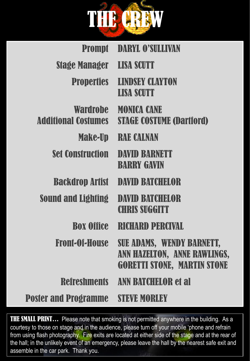

| <b>Prompt</b>                                 | <b>DARYL O'SULLIVAN</b>                                                                         |
|-----------------------------------------------|-------------------------------------------------------------------------------------------------|
| <b>Stage Manager</b>                          | <b>LISA SCUTT</b>                                                                               |
| <b>Properties</b>                             | <b>LINDSEY CLAYTON</b><br><b>LISA SCUTT</b>                                                     |
| <b>Wardrobe</b><br><b>Additional Costumes</b> | <b>MONICA CANE</b><br><b>STAGE COSTUME (Dartiord)</b>                                           |
| <b>Make-Up</b>                                | <b>IRALE CALENAN</b>                                                                            |
| <b>Set Construction</b>                       | DAVID BARNETT<br><b>BARRY GAVIN</b>                                                             |
| <b>Backdrop Artist</b>                        | <b>DAVID BATCHELOR</b>                                                                          |
| <b>Sound and Lighting</b>                     | DAVID BATCHELOR<br><b>CHRIS SUGGITT</b>                                                         |
| <b>Box Office</b>                             | <b>RICHARD PERCIVAL</b>                                                                         |
| <b>Front-Of-House</b>                         | SUE ADAMS, WENDY BARNETT,<br>ANN HAZELTON, ANNE RAWLINGS,<br><b>GORETTI STONE, MARTIN STONE</b> |
| <b>Refreshments</b>                           | <b>ANN BATCHELOR et al</b>                                                                      |
| <b>Poster and Programme STEVE MORLEY</b>      |                                                                                                 |

THE SMALL PRINT... Please note that smoking is not permitted anywhere in the building. As a courtesy to those on stage and in the audience, please turn off your mobile 'phone and refrain from using flash photography. Fire exits are located at either side of the stage and at the rear of the hall; in the unlikely event of an emergency, please leave the hall by the nearest safe exit and assemble in the car park. Thank you.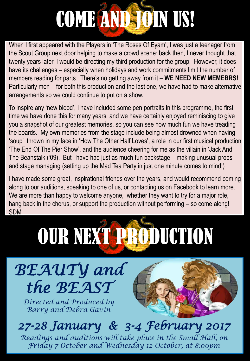# COME AND JOIN US!

When I first appeared with the Players in 'The Roses Of Eyam', I was just a teenager from the Scout Group next door helping to make a crowd scene: back then, I never thought that twenty years later, I would be directing my third production for the group. However, it does have its challenges – especially when holidays and work commitments limit the number of members reading for parts. There's no getting away from it – **WE NEED NEW MEMEBRS!** Particularly men – for both this production and the last one, we have had to make alternative arrangements so we could continue to put on a show.

To inspire any 'new blood', I have included some pen portraits in this programme, the first time we have done this for many years, and we have certainly enjoyed reminiscing to give you a snapshot of our greatest memories, so you can see how much fun we have treading the boards. My own memories from the stage include being almost drowned when having 'soup' thrown in my face in 'How The Other Half Loves', a role in our first musical production 'The End Of The Pier Show', and the audience cheering for me as the villain in 'Jack And The Beanstalk ('09). But I have had just as much fun backstage – making unusual props and stage managing (setting up the Mad Tea Party in just one minute comes to mind!)

I have made some great, inspirational friends over the years, and would recommend coming along to our auditions, speaking to one of us, or contacting us on Facebook to learn more. We are more than happy to welcome anyone, whether they want to try for a major role, hang back in the chorus, or support the production without performing – so come along! SDM

## OUR NEXT PRODUCTION



*Directed and Produced by Barry and Debra Gavin*



*27-28 January & 3-4 February 2017* 

*Readings and auditions will take place in the Small Hall, on Friday 7 October and Wednesday 12 October, at 8:00pm*